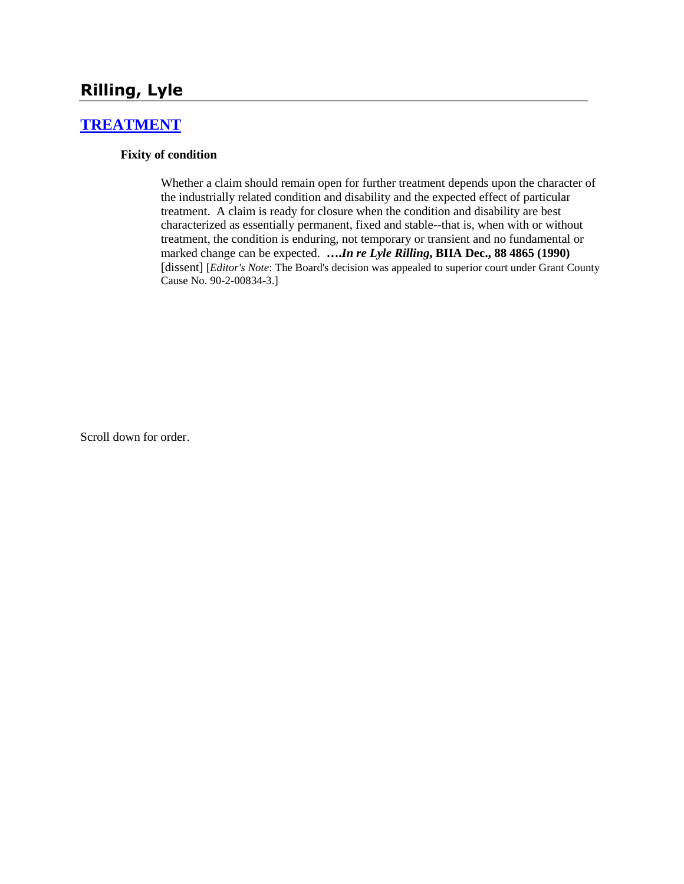# **Rilling, Lyle**

#### **[TREATMENT](http://www.biia.wa.gov/SDSubjectIndex.html#TREATMENT)**

#### **Fixity of condition**

Whether a claim should remain open for further treatment depends upon the character of the industrially related condition and disability and the expected effect of particular treatment. A claim is ready for closure when the condition and disability are best characterized as essentially permanent, fixed and stable--that is, when with or without treatment, the condition is enduring, not temporary or transient and no fundamental or marked change can be expected. **….***In re Lyle Rilling***, BIIA Dec., 88 4865 (1990)**  [dissent] [*Editor's Note*: The Board's decision was appealed to superior court under Grant County Cause No. 90-2-00834-3.]

Scroll down for order.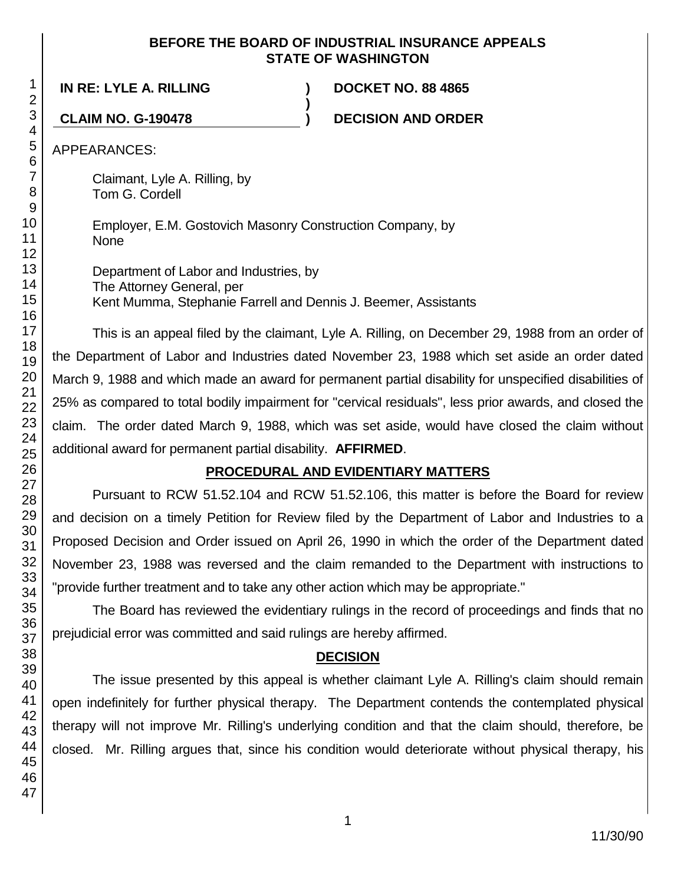#### **BEFORE THE BOARD OF INDUSTRIAL INSURANCE APPEALS STATE OF WASHINGTON**

**)**

**IN RE: LYLE A. RILLING ) DOCKET NO. 88 4865**

**CLAIM NO. G-190478 ) DECISION AND ORDER**

APPEARANCES:

Claimant, Lyle A. Rilling, by Tom G. Cordell

Employer, E.M. Gostovich Masonry Construction Company, by None

Department of Labor and Industries, by The Attorney General, per Kent Mumma, Stephanie Farrell and Dennis J. Beemer, Assistants

This is an appeal filed by the claimant, Lyle A. Rilling, on December 29, 1988 from an order of the Department of Labor and Industries dated November 23, 1988 which set aside an order dated March 9, 1988 and which made an award for permanent partial disability for unspecified disabilities of 25% as compared to total bodily impairment for "cervical residuals", less prior awards, and closed the claim. The order dated March 9, 1988, which was set aside, would have closed the claim without additional award for permanent partial disability. **AFFIRMED**.

# **PROCEDURAL AND EVIDENTIARY MATTERS**

Pursuant to RCW 51.52.104 and RCW 51.52.106, this matter is before the Board for review and decision on a timely Petition for Review filed by the Department of Labor and Industries to a Proposed Decision and Order issued on April 26, 1990 in which the order of the Department dated November 23, 1988 was reversed and the claim remanded to the Department with instructions to "provide further treatment and to take any other action which may be appropriate."

The Board has reviewed the evidentiary rulings in the record of proceedings and finds that no prejudicial error was committed and said rulings are hereby affirmed.

### **DECISION**

The issue presented by this appeal is whether claimant Lyle A. Rilling's claim should remain open indefinitely for further physical therapy. The Department contends the contemplated physical therapy will not improve Mr. Rilling's underlying condition and that the claim should, therefore, be closed. Mr. Rilling argues that, since his condition would deteriorate without physical therapy, his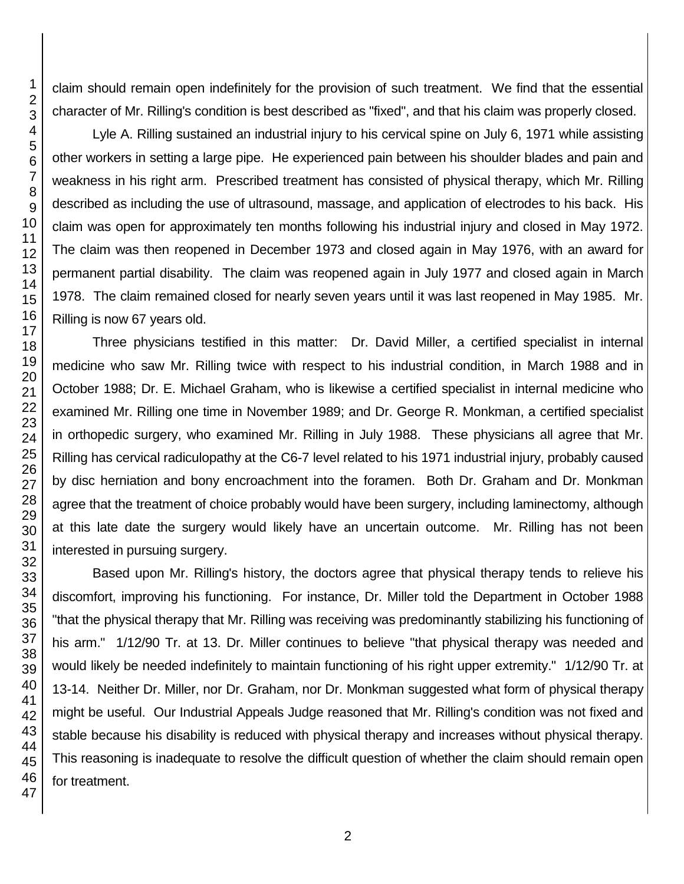claim should remain open indefinitely for the provision of such treatment. We find that the essential character of Mr. Rilling's condition is best described as "fixed", and that his claim was properly closed.

Lyle A. Rilling sustained an industrial injury to his cervical spine on July 6, 1971 while assisting other workers in setting a large pipe. He experienced pain between his shoulder blades and pain and weakness in his right arm. Prescribed treatment has consisted of physical therapy, which Mr. Rilling described as including the use of ultrasound, massage, and application of electrodes to his back. His claim was open for approximately ten months following his industrial injury and closed in May 1972. The claim was then reopened in December 1973 and closed again in May 1976, with an award for permanent partial disability. The claim was reopened again in July 1977 and closed again in March 1978. The claim remained closed for nearly seven years until it was last reopened in May 1985. Mr. Rilling is now 67 years old.

Three physicians testified in this matter: Dr. David Miller, a certified specialist in internal medicine who saw Mr. Rilling twice with respect to his industrial condition, in March 1988 and in October 1988; Dr. E. Michael Graham, who is likewise a certified specialist in internal medicine who examined Mr. Rilling one time in November 1989; and Dr. George R. Monkman, a certified specialist in orthopedic surgery, who examined Mr. Rilling in July 1988. These physicians all agree that Mr. Rilling has cervical radiculopathy at the C6-7 level related to his 1971 industrial injury, probably caused by disc herniation and bony encroachment into the foramen. Both Dr. Graham and Dr. Monkman agree that the treatment of choice probably would have been surgery, including laminectomy, although at this late date the surgery would likely have an uncertain outcome. Mr. Rilling has not been interested in pursuing surgery.

Based upon Mr. Rilling's history, the doctors agree that physical therapy tends to relieve his discomfort, improving his functioning. For instance, Dr. Miller told the Department in October 1988 "that the physical therapy that Mr. Rilling was receiving was predominantly stabilizing his functioning of his arm." 1/12/90 Tr. at 13. Dr. Miller continues to believe "that physical therapy was needed and would likely be needed indefinitely to maintain functioning of his right upper extremity." 1/12/90 Tr. at 13-14. Neither Dr. Miller, nor Dr. Graham, nor Dr. Monkman suggested what form of physical therapy might be useful. Our Industrial Appeals Judge reasoned that Mr. Rilling's condition was not fixed and stable because his disability is reduced with physical therapy and increases without physical therapy. This reasoning is inadequate to resolve the difficult question of whether the claim should remain open for treatment.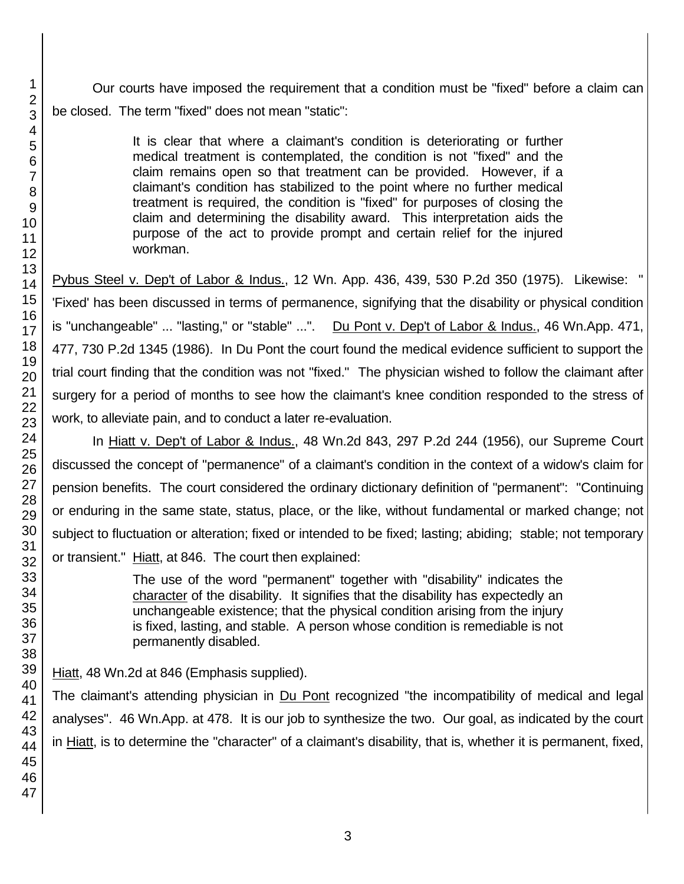Our courts have imposed the requirement that a condition must be "fixed" before a claim can be closed. The term "fixed" does not mean "static":

> It is clear that where a claimant's condition is deteriorating or further medical treatment is contemplated, the condition is not "fixed" and the claim remains open so that treatment can be provided. However, if a claimant's condition has stabilized to the point where no further medical treatment is required, the condition is "fixed" for purposes of closing the claim and determining the disability award. This interpretation aids the purpose of the act to provide prompt and certain relief for the injured workman.

Pybus Steel v. Dep't of Labor & Indus., 12 Wn. App. 436, 439, 530 P.2d 350 (1975). Likewise: " 'Fixed' has been discussed in terms of permanence, signifying that the disability or physical condition is "unchangeable" ... "lasting," or "stable" ...". Du Pont v. Dep't of Labor & Indus., 46 Wn.App. 471, 477, 730 P.2d 1345 (1986). In Du Pont the court found the medical evidence sufficient to support the trial court finding that the condition was not "fixed." The physician wished to follow the claimant after surgery for a period of months to see how the claimant's knee condition responded to the stress of work, to alleviate pain, and to conduct a later re-evaluation.

In Hiatt v. Dep't of Labor & Indus., 48 Wn.2d 843, 297 P.2d 244 (1956), our Supreme Court discussed the concept of "permanence" of a claimant's condition in the context of a widow's claim for pension benefits. The court considered the ordinary dictionary definition of "permanent": "Continuing or enduring in the same state, status, place, or the like, without fundamental or marked change; not subject to fluctuation or alteration; fixed or intended to be fixed; lasting; abiding; stable; not temporary or transient." Hiatt, at 846. The court then explained:

> The use of the word "permanent" together with "disability" indicates the character of the disability. It signifies that the disability has expectedly an unchangeable existence; that the physical condition arising from the injury is fixed, lasting, and stable. A person whose condition is remediable is not permanently disabled.

Hiatt, 48 Wn.2d at 846 (Emphasis supplied).

The claimant's attending physician in Du Pont recognized "the incompatibility of medical and legal analyses". 46 Wn.App. at 478. It is our job to synthesize the two. Our goal, as indicated by the court in Hiatt, is to determine the "character" of a claimant's disability, that is, whether it is permanent, fixed,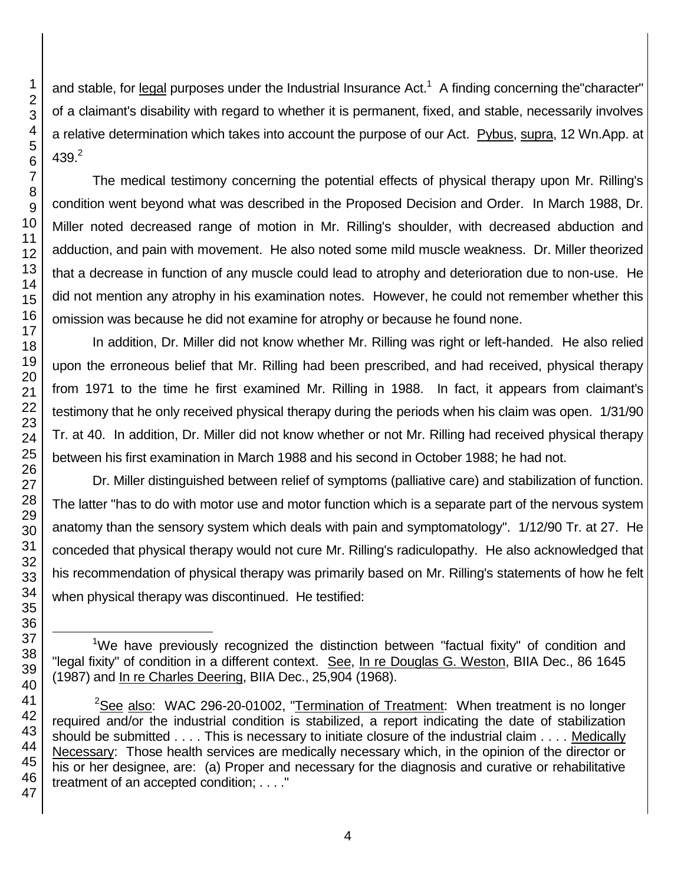46 47

1 2 3

and stable, for legal purposes under the Industrial Insurance Act.<sup>1</sup> A finding concerning the character" of a claimant's disability with regard to whether it is permanent, fixed, and stable, necessarily involves a relative determination which takes into account the purpose of our Act. Pybus, supra, 12 Wn.App. at

The medical testimony concerning the potential effects of physical therapy upon Mr. Rilling's condition went beyond what was described in the Proposed Decision and Order. In March 1988, Dr. Miller noted decreased range of motion in Mr. Rilling's shoulder, with decreased abduction and adduction, and pain with movement. He also noted some mild muscle weakness. Dr. Miller theorized that a decrease in function of any muscle could lead to atrophy and deterioration due to non-use. He did not mention any atrophy in his examination notes. However, he could not remember whether this omission was because he did not examine for atrophy or because he found none.

In addition, Dr. Miller did not know whether Mr. Rilling was right or left-handed. He also relied upon the erroneous belief that Mr. Rilling had been prescribed, and had received, physical therapy from 1971 to the time he first examined Mr. Rilling in 1988. In fact, it appears from claimant's testimony that he only received physical therapy during the periods when his claim was open. 1/31/90 Tr. at 40. In addition, Dr. Miller did not know whether or not Mr. Rilling had received physical therapy between his first examination in March 1988 and his second in October 1988; he had not.

Dr. Miller distinguished between relief of symptoms (palliative care) and stabilization of function. The latter "has to do with motor use and motor function which is a separate part of the nervous system anatomy than the sensory system which deals with pain and symptomatology". 1/12/90 Tr. at 27. He conceded that physical therapy would not cure Mr. Rilling's radiculopathy. He also acknowledged that his recommendation of physical therapy was primarily based on Mr. Rilling's statements of how he felt when physical therapy was discontinued. He testified:

<sup>&</sup>lt;sup>1</sup>We have previously recognized the distinction between "factual fixity" of condition and "legal fixity" of condition in a different context. See, In re Douglas G. Weston, BIIA Dec., 86 1645 (1987) and In re Charles Deering, BIIA Dec., 25,904 (1968).

<sup>&</sup>lt;sup>2</sup>See also: WAC 296-20-01002, "Termination of Treatment: When treatment is no longer required and/or the industrial condition is stabilized, a report indicating the date of stabilization should be submitted . . . . This is necessary to initiate closure of the industrial claim . . . . Medically Necessary: Those health services are medically necessary which, in the opinion of the director or his or her designee, are: (a) Proper and necessary for the diagnosis and curative or rehabilitative treatment of an accepted condition; . . . ."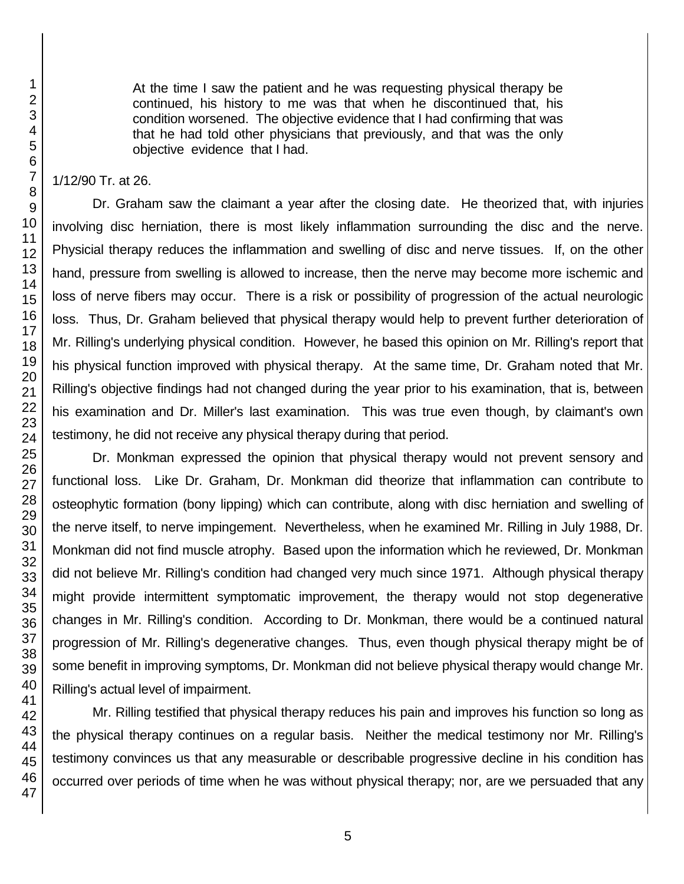At the time I saw the patient and he was requesting physical therapy be continued, his history to me was that when he discontinued that, his condition worsened. The objective evidence that I had confirming that was that he had told other physicians that previously, and that was the only objective evidence that I had.

#### 1/12/90 Tr. at 26.

Dr. Graham saw the claimant a year after the closing date. He theorized that, with injuries involving disc herniation, there is most likely inflammation surrounding the disc and the nerve. Physicial therapy reduces the inflammation and swelling of disc and nerve tissues. If, on the other hand, pressure from swelling is allowed to increase, then the nerve may become more ischemic and loss of nerve fibers may occur. There is a risk or possibility of progression of the actual neurologic loss. Thus, Dr. Graham believed that physical therapy would help to prevent further deterioration of Mr. Rilling's underlying physical condition. However, he based this opinion on Mr. Rilling's report that his physical function improved with physical therapy. At the same time, Dr. Graham noted that Mr. Rilling's objective findings had not changed during the year prior to his examination, that is, between his examination and Dr. Miller's last examination. This was true even though, by claimant's own testimony, he did not receive any physical therapy during that period.

Dr. Monkman expressed the opinion that physical therapy would not prevent sensory and functional loss. Like Dr. Graham, Dr. Monkman did theorize that inflammation can contribute to osteophytic formation (bony lipping) which can contribute, along with disc herniation and swelling of the nerve itself, to nerve impingement. Nevertheless, when he examined Mr. Rilling in July 1988, Dr. Monkman did not find muscle atrophy. Based upon the information which he reviewed, Dr. Monkman did not believe Mr. Rilling's condition had changed very much since 1971. Although physical therapy might provide intermittent symptomatic improvement, the therapy would not stop degenerative changes in Mr. Rilling's condition. According to Dr. Monkman, there would be a continued natural progression of Mr. Rilling's degenerative changes. Thus, even though physical therapy might be of some benefit in improving symptoms, Dr. Monkman did not believe physical therapy would change Mr. Rilling's actual level of impairment.

Mr. Rilling testified that physical therapy reduces his pain and improves his function so long as the physical therapy continues on a regular basis. Neither the medical testimony nor Mr. Rilling's testimony convinces us that any measurable or describable progressive decline in his condition has occurred over periods of time when he was without physical therapy; nor, are we persuaded that any

1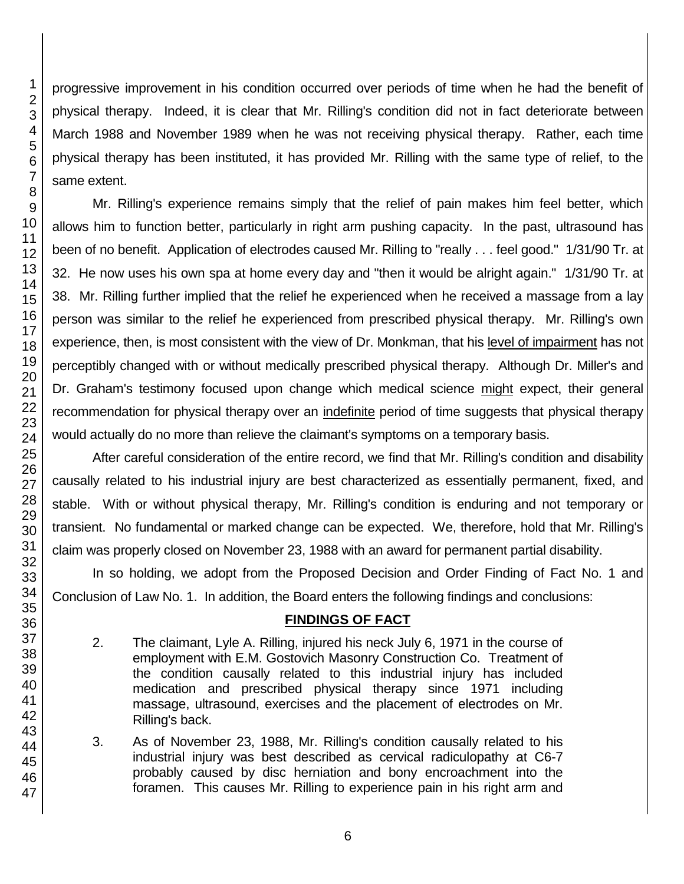progressive improvement in his condition occurred over periods of time when he had the benefit of physical therapy. Indeed, it is clear that Mr. Rilling's condition did not in fact deteriorate between March 1988 and November 1989 when he was not receiving physical therapy. Rather, each time physical therapy has been instituted, it has provided Mr. Rilling with the same type of relief, to the same extent.

Mr. Rilling's experience remains simply that the relief of pain makes him feel better, which allows him to function better, particularly in right arm pushing capacity. In the past, ultrasound has been of no benefit. Application of electrodes caused Mr. Rilling to "really . . . feel good." 1/31/90 Tr. at 32. He now uses his own spa at home every day and "then it would be alright again." 1/31/90 Tr. at 38. Mr. Rilling further implied that the relief he experienced when he received a massage from a lay person was similar to the relief he experienced from prescribed physical therapy. Mr. Rilling's own experience, then, is most consistent with the view of Dr. Monkman, that his level of impairment has not perceptibly changed with or without medically prescribed physical therapy. Although Dr. Miller's and Dr. Graham's testimony focused upon change which medical science might expect, their general recommendation for physical therapy over an indefinite period of time suggests that physical therapy would actually do no more than relieve the claimant's symptoms on a temporary basis.

After careful consideration of the entire record, we find that Mr. Rilling's condition and disability causally related to his industrial injury are best characterized as essentially permanent, fixed, and stable. With or without physical therapy, Mr. Rilling's condition is enduring and not temporary or transient. No fundamental or marked change can be expected. We, therefore, hold that Mr. Rilling's claim was properly closed on November 23, 1988 with an award for permanent partial disability.

In so holding, we adopt from the Proposed Decision and Order Finding of Fact No. 1 and Conclusion of Law No. 1. In addition, the Board enters the following findings and conclusions:

# **FINDINGS OF FACT**

2. The claimant, Lyle A. Rilling, injured his neck July 6, 1971 in the course of employment with E.M. Gostovich Masonry Construction Co. Treatment of the condition causally related to this industrial injury has included medication and prescribed physical therapy since 1971 including massage, ultrasound, exercises and the placement of electrodes on Mr. Rilling's back.

3. As of November 23, 1988, Mr. Rilling's condition causally related to his industrial injury was best described as cervical radiculopathy at C6-7 probably caused by disc herniation and bony encroachment into the foramen. This causes Mr. Rilling to experience pain in his right arm and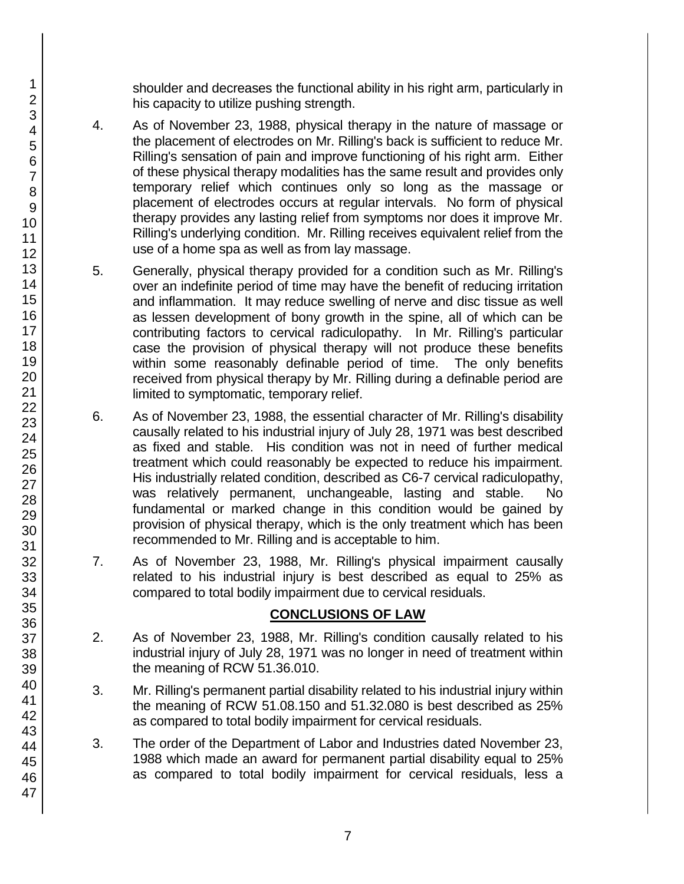shoulder and decreases the functional ability in his right arm, particularly in his capacity to utilize pushing strength.

- 4. As of November 23, 1988, physical therapy in the nature of massage or the placement of electrodes on Mr. Rilling's back is sufficient to reduce Mr. Rilling's sensation of pain and improve functioning of his right arm. Either of these physical therapy modalities has the same result and provides only temporary relief which continues only so long as the massage or placement of electrodes occurs at regular intervals. No form of physical therapy provides any lasting relief from symptoms nor does it improve Mr. Rilling's underlying condition. Mr. Rilling receives equivalent relief from the use of a home spa as well as from lay massage.
- 5. Generally, physical therapy provided for a condition such as Mr. Rilling's over an indefinite period of time may have the benefit of reducing irritation and inflammation. It may reduce swelling of nerve and disc tissue as well as lessen development of bony growth in the spine, all of which can be contributing factors to cervical radiculopathy. In Mr. Rilling's particular case the provision of physical therapy will not produce these benefits within some reasonably definable period of time. The only benefits received from physical therapy by Mr. Rilling during a definable period are limited to symptomatic, temporary relief.
- 6. As of November 23, 1988, the essential character of Mr. Rilling's disability causally related to his industrial injury of July 28, 1971 was best described as fixed and stable. His condition was not in need of further medical treatment which could reasonably be expected to reduce his impairment. His industrially related condition, described as C6-7 cervical radiculopathy, was relatively permanent, unchangeable, lasting and stable. No fundamental or marked change in this condition would be gained by provision of physical therapy, which is the only treatment which has been recommended to Mr. Rilling and is acceptable to him.
- 7. As of November 23, 1988, Mr. Rilling's physical impairment causally related to his industrial injury is best described as equal to 25% as compared to total bodily impairment due to cervical residuals.

### **CONCLUSIONS OF LAW**

- 2. As of November 23, 1988, Mr. Rilling's condition causally related to his industrial injury of July 28, 1971 was no longer in need of treatment within the meaning of RCW 51.36.010.
- 3. Mr. Rilling's permanent partial disability related to his industrial injury within the meaning of RCW 51.08.150 and 51.32.080 is best described as 25% as compared to total bodily impairment for cervical residuals.
- 3. The order of the Department of Labor and Industries dated November 23, 1988 which made an award for permanent partial disability equal to 25% as compared to total bodily impairment for cervical residuals, less a

1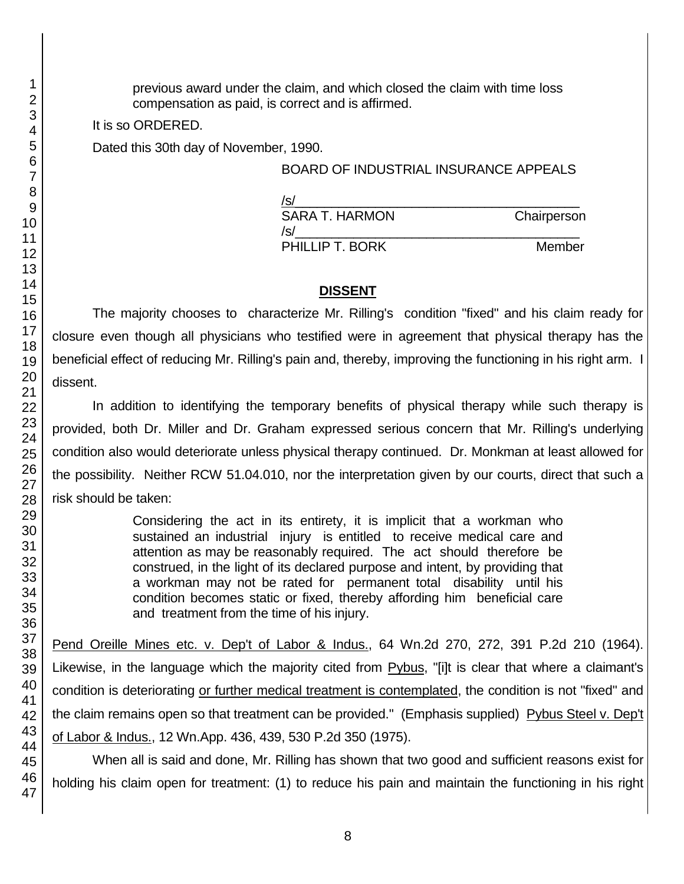previous award under the claim, and which closed the claim with time loss compensation as paid, is correct and is affirmed.

It is so ORDERED.

Dated this 30th day of November, 1990.

## BOARD OF INDUSTRIAL INSURANCE APPEALS

| /s/             |             |
|-----------------|-------------|
| SARA T. HARMON  | Chairperson |
| /s/             |             |
| PHILLIP T. BORK | Member      |

## **DISSENT**

The majority chooses to characterize Mr. Rilling's condition "fixed" and his claim ready for closure even though all physicians who testified were in agreement that physical therapy has the beneficial effect of reducing Mr. Rilling's pain and, thereby, improving the functioning in his right arm. I dissent.

In addition to identifying the temporary benefits of physical therapy while such therapy is provided, both Dr. Miller and Dr. Graham expressed serious concern that Mr. Rilling's underlying condition also would deteriorate unless physical therapy continued. Dr. Monkman at least allowed for the possibility. Neither RCW 51.04.010, nor the interpretation given by our courts, direct that such a risk should be taken:

> Considering the act in its entirety, it is implicit that a workman who sustained an industrial injury is entitled to receive medical care and attention as may be reasonably required. The act should therefore be construed, in the light of its declared purpose and intent, by providing that a workman may not be rated for permanent total disability until his condition becomes static or fixed, thereby affording him beneficial care and treatment from the time of his injury.

Pend Oreille Mines etc. v. Dep't of Labor & Indus., 64 Wn.2d 270, 272, 391 P.2d 210 (1964). Likewise, in the language which the majority cited from Pybus, "[i]t is clear that where a claimant's condition is deteriorating or further medical treatment is contemplated, the condition is not "fixed" and the claim remains open so that treatment can be provided." (Emphasis supplied) Pybus Steel v. Dep't of Labor & Indus., 12 Wn.App. 436, 439, 530 P.2d 350 (1975).

When all is said and done, Mr. Rilling has shown that two good and sufficient reasons exist for holding his claim open for treatment: (1) to reduce his pain and maintain the functioning in his right